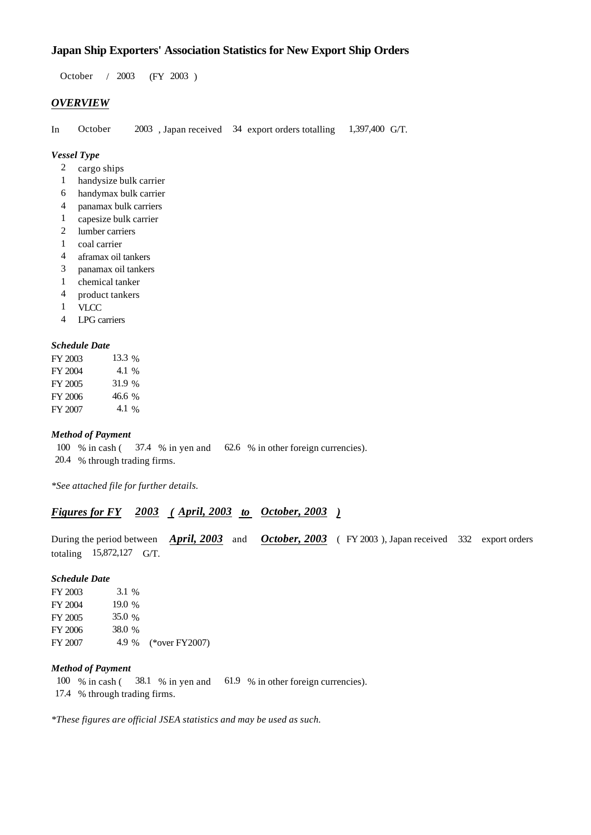# **Japan Ship Exporters' Association Statistics for New Export Ship Orders**

 $/ 2003$  (FY 2003) 2003 October

## *OVERVIEW*

In October  $2003$ , Japan received 34 export orders totalling 1,397,400 G/T. 1,397,400 G/T.

## *Vessel Type*

- 2 cargo ships
- handysize bulk carrier 1
- handymax bulk carrier 6
- panamax bulk carriers 4
- capesize bulk carrier 1
- lumber carriers 2
- coal carrier 1
- aframax oil tankers 4
- panamax oil tankers 3
- chemical tanker 1
- product tankers 4
- VLCC 1
- LPG carriers 4

### *Schedule Date*

| FY 2003 | 13.3 % |
|---------|--------|
| FY 2004 | 4.1 %  |
| FY 2005 | 31.9 % |
| FY 2006 | 46.6 % |
| FY 2007 | 4.1 %  |

## *Method of Payment*

100 % in cash (37.4 % in yen and 62.6 % in other foreign currencies). 20.4 % through trading firms.

*\*See attached file for further details.*

## *<u>Figures for FY 2003 (April, 2003 to October, 2003)</u>*

During the period between *April, 2003* and *October, 2003* (FY 2003), Japan received 332 export orders totaling  $15,872,127$  G/T.

#### *Schedule Date*

| FY 2003 | $3.1\%$  |                      |
|---------|----------|----------------------|
| FY 2004 | 19.0 $%$ |                      |
| FY 2005 | 35.0 %   |                      |
| FY 2006 | 38.0 %   |                      |
| FY 2007 |          | 4.9 % (*over FY2007) |

## *Method of Payment*

100 % in cash (38.1 % in yen and 61.9 % in other foreign currencies). 17.4 % through trading firms.

*\*These figures are official JSEA statistics and may be used as such.*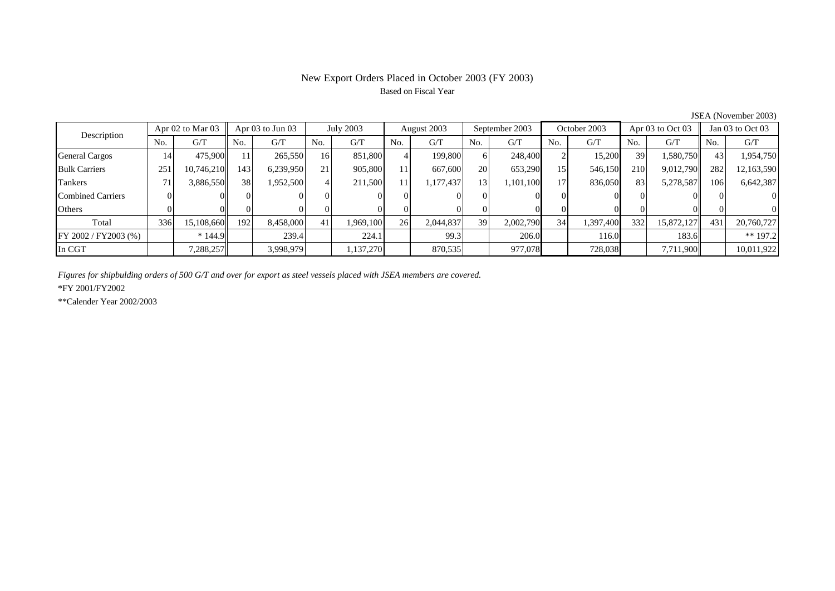# New Export Orders Placed in October 2003 (FY 2003) Based on Fiscal Year

|                          | Apr $02$ to Mar $03$<br>Description |            |     | Apr $03$ to Jun $03$ | July 2003 |           | August 2003 |           | September 2003  |           | October 2003 |           | Apr $03$ to Oct $03$ |            | Jan 03 to Oct 03 |                |
|--------------------------|-------------------------------------|------------|-----|----------------------|-----------|-----------|-------------|-----------|-----------------|-----------|--------------|-----------|----------------------|------------|------------------|----------------|
|                          | No.                                 | G/T        | No. | G/T                  | No.       | G/T       | No.         | G/T       | No.             | G/T       | No.          | G/T       | N <sub>o</sub>       | G/T        | No.              | G/T            |
| General Cargos           | 14.                                 | 475,900    | 11  | 265,550              | 161       | 851,800   |             | 199,800   | 61              | 248,400   |              | 15,200    | 39                   | 1,580,750  | 43               | 1,954,750      |
| <b>Bulk Carriers</b>     | 251                                 | 10,746,210 | 143 | 6,239,950            | 21        | 905,800   | 11          | 667,600   | 20              | 653,290   | 15           | 546,150   | 210                  | 9,012,790  | 282              | 12,163,590     |
| Tankers                  |                                     | 3,886,550  | 38  | 1,952,500            |           | 211,500   | 11          | 1,177,437 | 13 <sup>1</sup> | 1,101,100 | 17           | 836,050   | 83                   | 5,278,587  | 106              | 6,642,387      |
| <b>Combined Carriers</b> |                                     |            |     |                      | 01        |           |             |           |                 |           |              |           |                      |            |                  | 0              |
| Others                   |                                     |            |     |                      |           |           |             |           |                 |           |              |           |                      |            |                  | $\overline{0}$ |
| Total                    | 336                                 | 15,108,660 | 192 | 8,458,000            | 41        | 1,969,100 | 261         | 2,044,837 | 39              | 2,002,790 | 34           | 1,397,400 | 3321                 | 15,872,127 | 431              | 20,760,727     |
| FY 2002 / FY2003 (%)     |                                     | $*144.9$   |     | 239.4                |           | 224.1     |             | 99.3      |                 | 206.0     |              | 116.0     |                      | 183.6      |                  | $** 197.2$     |
| In CGT                   |                                     | 7,288,257  |     | 3.998.979            |           | ,137,270  |             | 870,535   |                 | 977,078   |              | 728,038   |                      | 7,711,900  |                  | 10,011,922     |

JSEA (November 2003)

*Figures for shipbulding orders of 500 G/T and over for export as steel vessels placed with JSEA members are covered.*

\*FY 2001/FY2002

\*\*Calender Year 2002/2003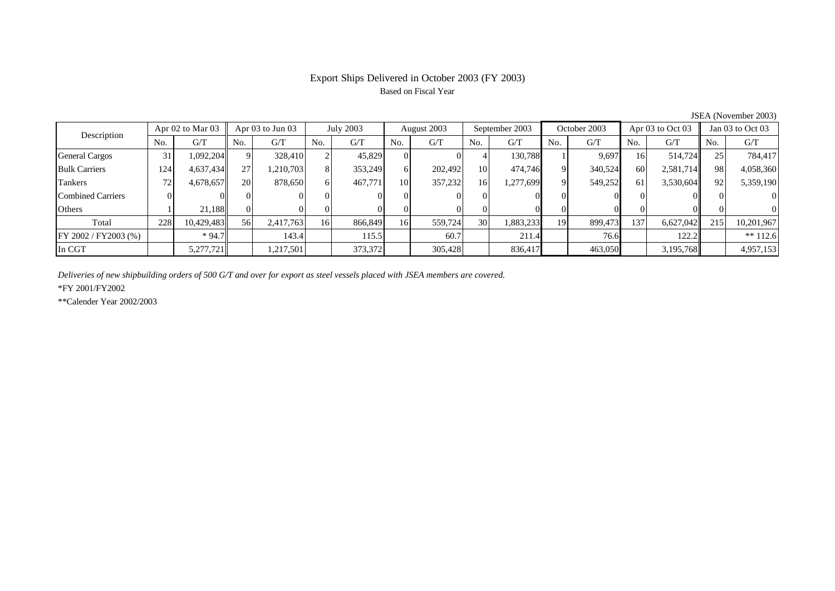# Export Ships Delivered in October 2003 (FY 2003) Based on Fiscal Year

| 50.211110100120007       |                      |            |                      |           |           |         |             |         |                |           |              |         |                  |           |                  |            |
|--------------------------|----------------------|------------|----------------------|-----------|-----------|---------|-------------|---------|----------------|-----------|--------------|---------|------------------|-----------|------------------|------------|
| Description              | Apr $02$ to Mar $03$ |            | Apr $03$ to Jun $03$ |           | July 2003 |         | August 2003 |         | September 2003 |           | October 2003 |         | Apr 03 to Oct 03 |           | Jan 03 to Oct 03 |            |
|                          | No.                  | G/T        | No.                  | G/T       | No.       | G/T     | No.         | G/T     | No.            | G/T       | No.          | G/T     | No.              | G/T       | No.              | G/T        |
| <b>General Cargos</b>    | 31                   | 1,092,204  |                      | 328,410   |           | 45,829  |             |         |                | 130,788   |              | 9,697   | 16               | 514.724   | 25 <sub>1</sub>  | 784,417    |
| <b>Bulk Carriers</b>     | 124                  | 4,637,434  | 27                   | 1,210,703 |           | 353,249 | 6           | 202.492 | 10             | 474,746   |              | 340,524 | 60               | 2,581,714 | 981              | 4,058,360  |
| Tankers                  | 72.                  | 4,678,657  | <b>20</b>            | 878,650   | 61        | 467,771 | 10          | 357,232 | 16             | 1,277,699 | $\Omega$     | 549,252 | 61               | 3,530,604 | 92               | 5,359,190  |
| <b>Combined Carriers</b> |                      |            |                      |           |           |         |             |         |                |           |              |         |                  |           |                  | $\Omega$   |
| Others                   |                      | 21.188     |                      |           |           |         |             |         |                |           |              |         |                  |           |                  | $\Omega$   |
| Total                    | 228                  | 10,429,483 | 56                   | 2,417,763 | 16        | 866,849 | 16          | 559,724 | 30             | 1,883,233 | 19           | 899,473 | 137              | 6,627,042 | 215              | 10,201,967 |
| FY 2002 / FY2003 (%)     |                      | $*94.7$    |                      | 143.4     |           | 115.5   |             | 60.7    |                | 211.4     |              | 76.6    |                  | 122.2     |                  | $** 112.6$ |
| In CGT                   |                      | 5,277,721  |                      | 1,217,501 |           | 373,372 |             | 305,428 |                | 836,417   |              | 463,050 |                  | 3,195,768 |                  | 4,957,153  |

JSEA (November 2003)

*Deliveries of new shipbuilding orders of 500 G/T and over for export as steel vessels placed with JSEA members are covered.*

\*FY 2001/FY2002

\*\*Calender Year 2002/2003